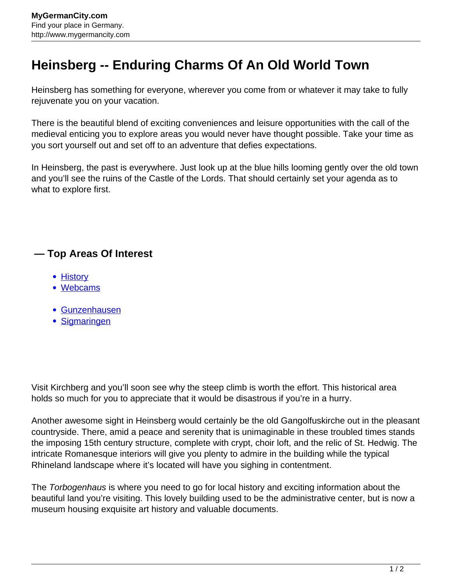## **Heinsberg -- Enduring Charms Of An Old World Town**

Heinsberg has something for everyone, wherever you come from or whatever it may take to fully rejuvenate you on your vacation.

There is the beautiful blend of exciting conveniences and leisure opportunities with the call of the medieval enticing you to explore areas you would never have thought possible. Take your time as you sort yourself out and set off to an adventure that defies expectations.

In Heinsberg, the past is everywhere. Just look up at the blue hills looming gently over the old town and you'll see the ruins of the Castle of the Lords. That should certainly set your agenda as to what to explore first.

## **— Top Areas Of Interest**

- [History](http://www.mygermancity.com/leipzig-history)
- [Webcams](http://www.mygermancity.com/neustadt-holstein-webcams)
- [Gunzenhausen](http://www.mygermancity.com/gunzenhausen)
- [Sigmaringen](http://www.mygermancity.com/sigmaringen)

Visit Kirchberg and you'll soon see why the steep climb is worth the effort. This historical area holds so much for you to appreciate that it would be disastrous if you're in a hurry.

Another awesome sight in Heinsberg would certainly be the old Gangolfuskirche out in the pleasant countryside. There, amid a peace and serenity that is unimaginable in these troubled times stands the imposing 15th century structure, complete with crypt, choir loft, and the relic of St. Hedwig. The intricate Romanesque interiors will give you plenty to admire in the building while the typical Rhineland landscape where it's located will have you sighing in contentment.

The Torbogenhaus is where you need to go for local history and exciting information about the beautiful land you're visiting. This lovely building used to be the administrative center, but is now a museum housing exquisite art history and valuable documents.